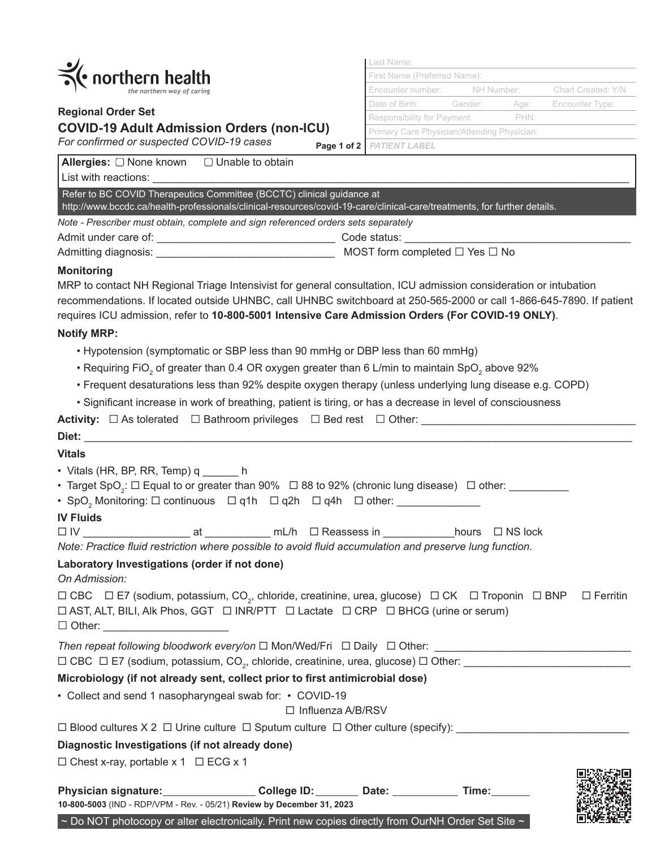

# **Regional Order Set COVID-19 Adult Admission Orders (non-ICU)**

| Last Name:                                  |      |                    |
|---------------------------------------------|------|--------------------|
| First Name (Preferred Name):                |      |                    |
| Encounter number: NH Number:                |      | Chart Created: Y/N |
| Date of Birth: Gender:                      | Age: | Encounter Type:    |
| Responsibility for Payment:                 | PHN· |                    |
| Primary Care Physician/Attending Physician: |      |                    |
| 2   PATIENT LABEL                           |      |                    |

**EUS NAMES** 

| For confirmed or suspected COVID-19 cases                                                                                                                                                                                                                                                                                                                           | Page 1 of 2   PATIENT LABEL |
|---------------------------------------------------------------------------------------------------------------------------------------------------------------------------------------------------------------------------------------------------------------------------------------------------------------------------------------------------------------------|-----------------------------|
| <b>Allergies:</b> $\Box$ None known $\Box$ Unable to obtain                                                                                                                                                                                                                                                                                                         |                             |
|                                                                                                                                                                                                                                                                                                                                                                     |                             |
| Refer to BC COVID Therapeutics Committee (BCCTC) clinical guidance at<br>http://www.bccdc.ca/health-professionals/clinical-resources/covid-19-care/clinical-care/treatments, for further details.                                                                                                                                                                   |                             |
| Note - Prescriber must obtain, complete and sign referenced orders sets separately                                                                                                                                                                                                                                                                                  |                             |
|                                                                                                                                                                                                                                                                                                                                                                     |                             |
|                                                                                                                                                                                                                                                                                                                                                                     |                             |
| <b>Monitoring</b><br>MRP to contact NH Regional Triage Intensivist for general consultation, ICU admission consideration or intubation<br>recommendations. If located outside UHNBC, call UHNBC switchboard at 250-565-2000 or call 1-866-645-7890. If patient<br>requires ICU admission, refer to 10-800-5001 Intensive Care Admission Orders (For COVID-19 ONLY). |                             |
| <b>Notify MRP:</b>                                                                                                                                                                                                                                                                                                                                                  |                             |
| • Hypotension (symptomatic or SBP less than 90 mmHg or DBP less than 60 mmHg)                                                                                                                                                                                                                                                                                       |                             |
| • Requiring FiO <sub>2</sub> of greater than 0.4 OR oxygen greater than 6 L/min to maintain SpO <sub>2</sub> above 92%                                                                                                                                                                                                                                              |                             |
| . Frequent desaturations less than 92% despite oxygen therapy (unless underlying lung disease e.g. COPD)                                                                                                                                                                                                                                                            |                             |
| • Significant increase in work of breathing, patient is tiring, or has a decrease in level of consciousness                                                                                                                                                                                                                                                         |                             |
| <b>Activity:</b> $\Box$ As tolerated $\Box$ Bathroom privileges $\Box$ Bed rest $\Box$ Other:                                                                                                                                                                                                                                                                       |                             |
|                                                                                                                                                                                                                                                                                                                                                                     |                             |
| <b>Vitals</b>                                                                                                                                                                                                                                                                                                                                                       |                             |
| • Vitals (HR, BP, RR, Temp) q ______ h                                                                                                                                                                                                                                                                                                                              |                             |

- Target SpO<sub>2</sub>:  $\Box$  Equal to or greater than 90%  $\Box$  88 to 92% (chronic lung disease)  $\Box$  other: \_\_\_\_\_\_\_\_\_\_
- SpO<sub>2</sub> Monitoring:  $\Box$  continuous  $\Box$  q1h  $\Box$  q2h  $\Box$  q4h  $\Box$  other: \_\_\_\_\_\_\_\_\_\_\_\_\_\_

#### **IV Fluids**

| $\Box$ IV |  | mL/h | $\Box$ Reassess in | hours | $\Box$ NS lock |
|-----------|--|------|--------------------|-------|----------------|
|           |  |      |                    |       |                |

| Note: Practice fluid restriction where possible to avoid fluid accumulation and preserve lung function. |  |  |  |
|---------------------------------------------------------------------------------------------------------|--|--|--|
|---------------------------------------------------------------------------------------------------------|--|--|--|

## **Laboratory Investigations (order if not done)**

*On Admission:*

|               | □ CBC □ E7 (sodium, potassium, CO,, chloride, creatinine, urea, glucose) □ CK □ Troponin □ BNP □ Ferritin  |  |  |  |  |
|---------------|------------------------------------------------------------------------------------------------------------|--|--|--|--|
|               | $\Box$ AST, ALT, BILI, AIk Phos, GGT $\Box$ INR/PTT $\Box$ Lactate $\Box$ CRP $\Box$ BHCG (urine or serum) |  |  |  |  |
| $\Box$ Other: |                                                                                                            |  |  |  |  |

*Then repeat following bloodwork every/on* Mon/Wed/Fri Daily Other: \_\_\_\_\_\_\_\_\_\_\_\_\_\_\_\_\_\_\_\_\_\_\_\_\_\_\_\_\_\_\_\_\_

CBC E7 (sodium, potassium, CO2 , chloride, creatinine, urea, glucose) Other: \_\_\_\_\_\_\_\_\_\_\_\_\_\_\_\_\_\_\_\_\_\_\_\_\_\_\_\_

### **Microbiology (if not already sent, collect prior to first antimicrobial dose)**

• Collect and send 1 nasopharyngeal swab for: • COVID-19

□ Influenza A/B/RSV

Blood cultures X 2 Urine culture Sputum culture Other culture (specify): \_\_\_\_\_\_\_\_\_\_\_\_\_\_\_\_\_\_\_\_\_\_\_\_\_\_\_\_\_

### **Diagnostic Investigations (if not already done)**

 $\Box$  Chest x-ray, portable x 1  $\Box$  ECG x 1

| <b>Physician signature:</b>                                                                                   | College ID: | Date: | Time: |  |
|---------------------------------------------------------------------------------------------------------------|-------------|-------|-------|--|
| 10-800-5003 (IND - RDP/VPM - Rev. - 05/21) Review by December 31, 2023                                        |             |       |       |  |
| $\sim$ Do NOT photocopy or alter electronically. Print new copies directly from OurNH Order Set Site $\sim$ ' |             |       |       |  |